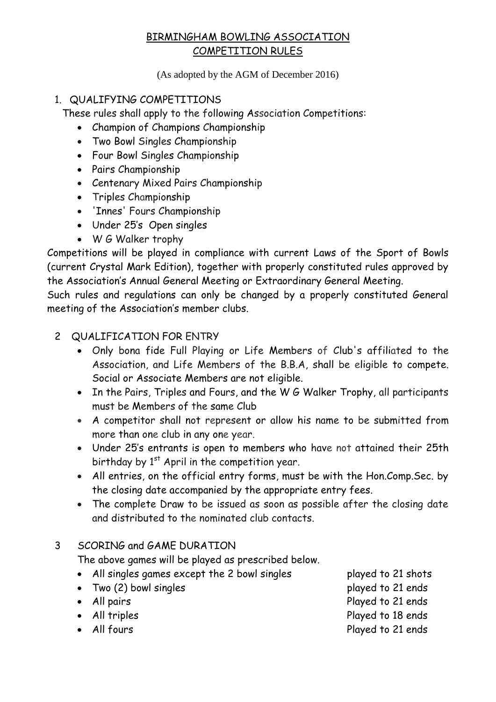(As adopted by the AGM of December 2016)

### 1. QUALIFYING COMPETITIONS

These rules shall apply to the following Association Competitions:

- Champion of Champions Championship
- Two Bowl Singles Championship
- Four Bowl Singles Championship
- Pairs Championship
- Centenary Mixed Pairs Championship
- Triples Championship
- 'Innes' Fours Championship
- Under 25's Open singles
- W G Walker trophy

Competitions will be played in compliance with current Laws of the Sport of Bowls (current Crystal Mark Edition), together with properly constituted rules approved by the Association's Annual General Meeting or Extraordinary General Meeting.

Such rules and regulations can only be changed by a properly constituted General meeting of the Association's member clubs.

## 2 QUALIFICATION FOR ENTRY

- Only bona fide Full Playing or Life Members of Club's affiliated to the Association, and Life Members of the B.B.A, shall be eligible to compete. Social or Associate Members are not eligible.
- In the Pairs, Triples and Fours, and the W G Walker Trophy, all participants must be Members of the same Club
- A competitor shall not represent or allow his name to be submitted from more than one club in any one year.
- Under 25's entrants is open to members who have not attained their 25th birthday by 1<sup>st</sup> April in the competition year.
- All entries, on the official entry forms, must be with the Hon.Comp.Sec. by the closing date accompanied by the appropriate entry fees.
- The complete Draw to be issued as soon as possible after the closing date and distributed to the nominated club contacts.

## 3 SCORING and GAME DURATION

The above games will be played as prescribed below.

- All singles games except the 2 bowl singles played to 21 shots
- Two (2) bowl singles extending the played to 21 ends
- All pairs **Played to 21 ends**
- 
- 
- 
- 
- All triples Played to 18 ends
- All fours **Played to 21 ends**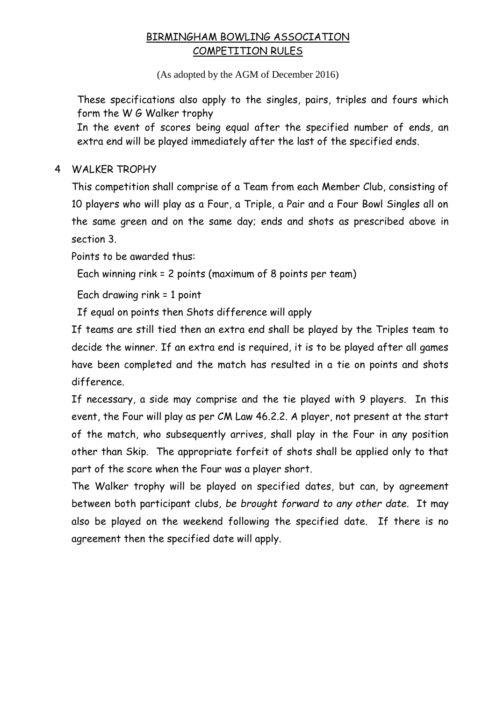(As adopted by the AGM of December 2016)

These specifications also apply to the singles, pairs, triples and fours which form the W G Walker trophy

In the event of scores being equal after the specified number of ends, an extra end will be played immediately after the last of the specified ends.

4 WALKER TROPHY

This competition shall comprise of a Team from each Member Club, consisting of 10 players who will play as a Four, a Triple, a Pair and a Four Bowl Singles all on the same green and on the same day; ends and shots as prescribed above in section 3.

Points to be awarded thus:

Each winning rink = 2 points (maximum of 8 points per team)

Each drawing rink = 1 point

If equal on points then Shots difference will apply

If teams are still tied then an extra end shall be played by the Triples team to decide the winner. If an extra end is required, it is to be played after all games have been completed and the match has resulted in a tie on points and shots difference.

If necessary, a side may comprise and the tie played with 9 players. In this event, the Four will play as per CM Law 46.2.2. A player, not present at the start of the match, who subsequently arrives, shall play in the Four in any position other than Skip. The appropriate forfeit of shots shall be applied only to that part of the score when the Four was a player short.

The Walker trophy will be played on specified dates, but can, by agreement between both participant clubs, *be brought forward to any other date.* It may also be played on the weekend following the specified date. If there is no agreement then the specified date will apply.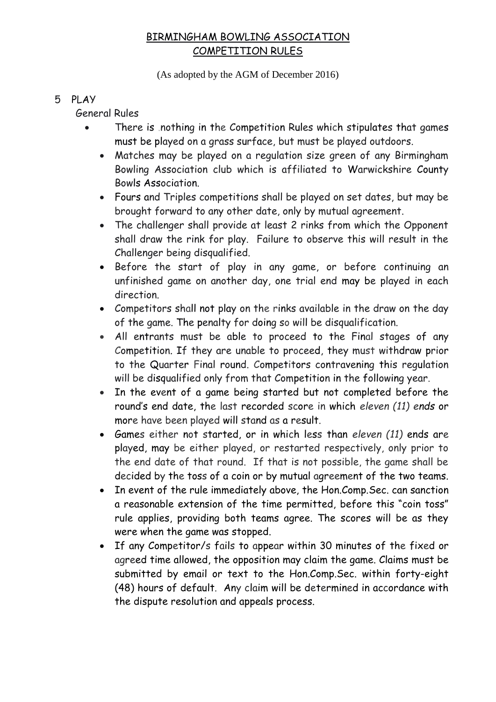(As adopted by the AGM of December 2016)

#### 5 PLAY

General Rules

- There is .nothing in the Competition Rules which stipulates that games must be played on a grass surface, but must be played outdoors.
	- Matches may be played on a regulation size green of any Birmingham Bowling Association club which is affiliated to Warwickshire County Bowls Association.
	- Fours and Triples competitions shall be played on set dates, but may be brought forward to any other date, only by mutual agreement.
	- The challenger shall provide at least 2 rinks from which the Opponent shall draw the rink for play. Failure to observe this will result in the Challenger being disqualified.
	- Before the start of play in any game, or before continuing an unfinished game on another day, one trial end may be played in each direction.
	- Competitors shall not play on the rinks available in the draw on the day of the game. The penalty for doing so will be disqualification.
	- All entrants must be able to proceed to the Final stages of any Competition. If they are unable to proceed, they must withdraw prior to the Quarter Final round. Competitors contravening this regulation will be disqualified only from that Competition in the following year.
	- In the event of a game being started but not completed before the round's end date, the last recorded score in which *eleven (11) ends* or more have been played will stand as a result.
	- Games either not started, or in which less than *eleven (11)* ends are played, may be either played, or restarted respectively, only prior to the end date of that round. If that is not possible, the game shall be decided by the toss of a coin or by mutual agreement of the two teams.
	- In event of the rule immediately above, the Hon.Comp. Sec. can sanction a reasonable extension of the time permitted, before this "coin toss" rule applies, providing both teams agree. The scores will be as they were when the game was stopped.
	- If any Competitor/s fails to appear within 30 minutes of the fixed or agreed time allowed, the opposition may claim the game. Claims must be submitted by email or text to the Hon.Comp.Sec. within forty-eight (48) hours of default. Any claim will be determined in accordance with the dispute resolution and appeals process.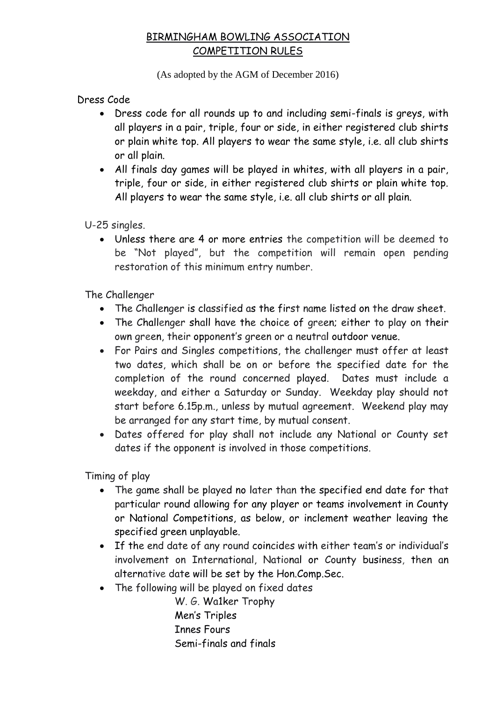(As adopted by the AGM of December 2016)

Dress Code

- Dress code for all rounds up to and including semi-finals is greys, with all players in a pair, triple, four or side, in either registered club shirts or plain white top. All players to wear the same style, i.e. all club shirts or all plain.
- All finals day games will be played in whites, with all players in a pair, triple, four or side, in either registered club shirts or plain white top. All players to wear the same style, i.e. all club shirts or all plain.

U-25 singles.

 Unless there are 4 or more entries the competition will be deemed to be "Not played", but the competition will remain open pending restoration of this minimum entry number.

The Challenger

- The Challenger is classified as the first name listed on the draw sheet.
- The Challenger shall have the choice of green; either to play on their own green, their opponent's green or a neutral outdoor venue.
- For Pairs and Singles competitions, the challenger must offer at least two dates, which shall be on or before the specified date for the completion of the round concerned played. Dates must include a weekday, and either a Saturday or Sunday. Weekday play should not start before 6.15p.m., unless by mutual agreement. Weekend play may be arranged for any start time, by mutual consent.
- Dates offered for play shall not include any National or County set dates if the opponent is involved in those competitions.

Timing of play

- The game shall be played no later than the specified end date for that particular round allowing for any player or teams involvement in County or National Competitions, as below, or inclement weather leaving the specified green unplayable.
- If the end date of any round coincides with either team's or individual's involvement on International, National or County business, then an alternative date will be set by the Hon.Comp.Sec.
- The following will be played on fixed dates

W. G. Wa1ker Trophy Men's Triples Innes Fours Semi-finals and finals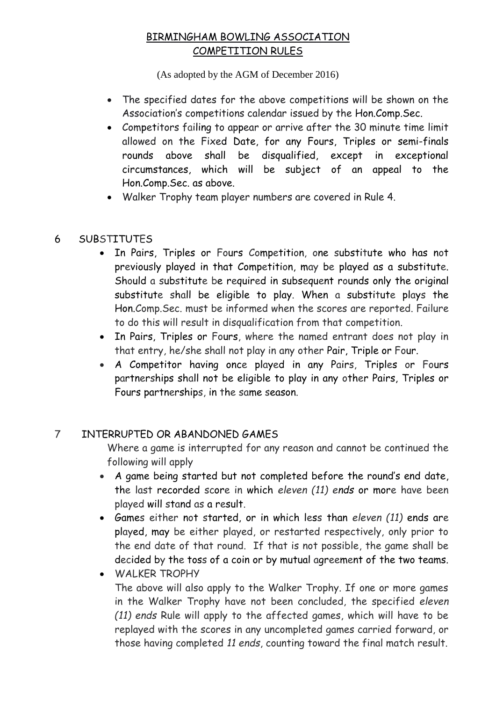(As adopted by the AGM of December 2016)

- The specified dates for the above competitions will be shown on the Association's competitions calendar issued by the Hon.Comp.Sec.
- Competitors failing to appear or arrive after the 30 minute time limit allowed on the Fixed Date, for any Fours, Triples or semi-finals rounds above shall be disqualified, except in exceptional circumstances, which will be subject of an appeal to the Hon.Comp.Sec. as above.
- Walker Trophy team player numbers are covered in Rule 4.

### 6 SUBSTITUTES

- In Pairs, Triples or Fours Competition, one substitute who has not previously played in that Competition, may be played as a substitute. Should a substitute be required in subsequent rounds only the original substitute shall be eligible to play. When a substitute plays the Hon.Comp.Sec. must be informed when the scores are reported. Failure to do this will result in disqualification from that competition.
- In Pairs, Triples or Fours, where the named entrant does not play in that entry, he/she shall not play in any other Pair, Triple or Four.
- A Competitor having once played in any Pairs, Triples or Fours partnerships shall not be eligible to play in any other Pairs, Triples or Fours partnerships, in the same season.

#### 7 INTERRUPTED OR ABANDONED GAMES

Where a game is interrupted for any reason and cannot be continued the following will apply

- A game being started but not completed before the round's end date, the last recorded score in which *eleven (11) ends* or more have been played will stand as a result.
- Games either not started, or in which less than *eleven (11)* ends are played, may be either played, or restarted respectively, only prior to the end date of that round. If that is not possible, the game shall be decided by the toss of a coin or by mutual agreement of the two teams.
- WALKER TROPHY The above will also apply to the Walker Trophy. If one or more games in the Walker Trophy have not been concluded, the specified *eleven (11) ends* Rule will apply to the affected games, which will have to be replayed with the scores in any uncompleted games carried forward, or those having completed *11 ends*, counting toward the final match result.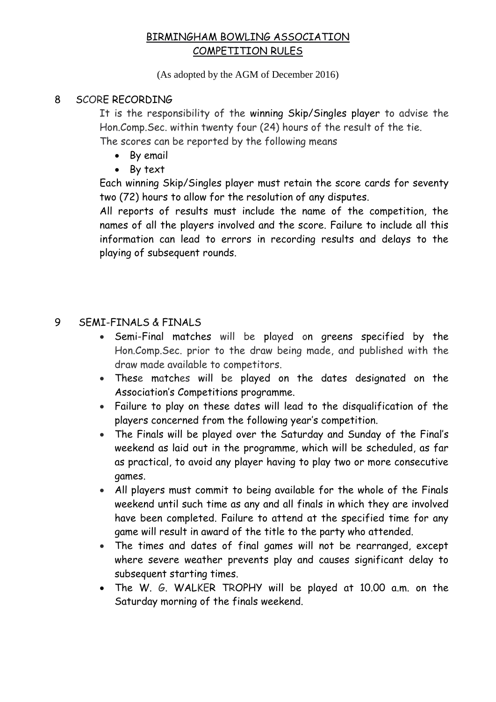(As adopted by the AGM of December 2016)

#### 8 SCORE RECORDING

It is the responsibility of the winning Skip/Singles player to advise the Hon.Comp.Sec. within twenty four (24) hours of the result of the tie.

The scores can be reported by the following means

- By email
- By text

Each winning Skip/Singles player must retain the score cards for seventy two (72) hours to allow for the resolution of any disputes.

All reports of results must include the name of the competition, the names of all the players involved and the score. Failure to include all this information can lead to errors in recording results and delays to the playing of subsequent rounds.

#### 9 SEMI-FINALS & FINALS

- Semi-Final matches will be played on greens specified by the Hon.Comp.Sec. prior to the draw being made, and published with the draw made available to competitors.
- These matches will be played on the dates designated on the Association's Competitions programme.
- Failure to play on these dates will lead to the disqualification of the players concerned from the following year's competition.
- The Finals will be played over the Saturday and Sunday of the Final's weekend as laid out in the programme, which will be scheduled, as far as practical, to avoid any player having to play two or more consecutive games.
- All players must commit to being available for the whole of the Finals weekend until such time as any and all finals in which they are involved have been completed. Failure to attend at the specified time for any game will result in award of the title to the party who attended.
- The times and dates of final games will not be rearranged, except where severe weather prevents play and causes significant delay to subsequent starting times.
- The W. G. WALKER TROPHY will be played at 10.00 a.m. on the Saturday morning of the finals weekend.